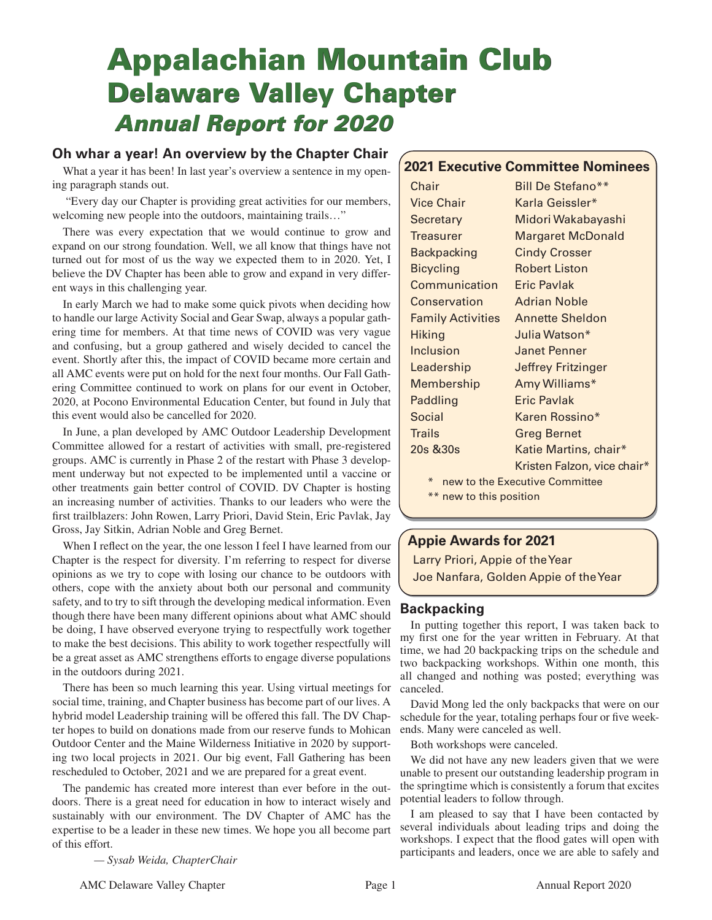# **Appalachian Mountain Club Delaware Valley Chapter**  *Annual Report for 2020*

# **Oh whar a year! An overview by the Chapter Chair**

What a year it has been! In last year's overview a sentence in my opening paragraph stands out.

 "Every day our Chapter is providing great activities for our members, welcoming new people into the outdoors, maintaining trails…"

There was every expectation that we would continue to grow and expand on our strong foundation. Well, we all know that things have not turned out for most of us the way we expected them to in 2020. Yet, I believe the DV Chapter has been able to grow and expand in very different ways in this challenging year.

In early March we had to make some quick pivots when deciding how to handle our large Activity Social and Gear Swap, always a popular gathering time for members. At that time news of COVID was very vague and confusing, but a group gathered and wisely decided to cancel the event. Shortly after this, the impact of COVID became more certain and all AMC events were put on hold for the next four months. Our Fall Gathering Committee continued to work on plans for our event in October, 2020, at Pocono Environmental Education Center, but found in July that this event would also be cancelled for 2020.

In June, a plan developed by AMC Outdoor Leadership Development Committee allowed for a restart of activities with small, pre-registered groups. AMC is currently in Phase 2 of the restart with Phase 3 development underway but not expected to be implemented until a vaccine or other treatments gain better control of COVID. DV Chapter is hosting an increasing number of activities. Thanks to our leaders who were the first trailblazers: John Rowen, Larry Priori, David Stein, Eric Pavlak, Jay Gross, Jay Sitkin, Adrian Noble and Greg Bernet.

When I reflect on the year, the one lesson I feel I have learned from our Chapter is the respect for diversity. I'm referring to respect for diverse opinions as we try to cope with losing our chance to be outdoors with others, cope with the anxiety about both our personal and community safety, and to try to sift through the developing medical information. Even though there have been many different opinions about what AMC should be doing, I have observed everyone trying to respectfully work together to make the best decisions. This ability to work together respectfully will be a great asset as AMC strengthens efforts to engage diverse populations in the outdoors during 2021.

There has been so much learning this year. Using virtual meetings for social time, training, and Chapter business has become part of our lives. A hybrid model Leadership training will be offered this fall. The DV Chapter hopes to build on donations made from our reserve funds to Mohican Outdoor Center and the Maine Wilderness Initiative in 2020 by supporting two local projects in 2021. Our big event, Fall Gathering has been rescheduled to October, 2021 and we are prepared for a great event.

The pandemic has created more interest than ever before in the outdoors. There is a great need for education in how to interact wisely and sustainably with our environment. The DV Chapter of AMC has the expertise to be a leader in these new times. We hope you all become part of this effort.

 *— Sysab Weida, ChapterChair*

# **2021 Executive Committee Nominees**

| Chair                                    | Bill De Stefano**           |  |
|------------------------------------------|-----------------------------|--|
| Vice Chair                               | Karla Geissler*             |  |
| Secretary                                | Midori Wakabayashi          |  |
| <b>Treasurer</b>                         | <b>Margaret McDonald</b>    |  |
| <b>Backpacking</b>                       | <b>Cindy Crosser</b>        |  |
| <b>Bicycling</b>                         | <b>Robert Liston</b>        |  |
| Communication                            | <b>Eric Pavlak</b>          |  |
| Conservation                             | <b>Adrian Noble</b>         |  |
| <b>Family Activities</b>                 | <b>Annette Sheldon</b>      |  |
| <b>Hiking</b>                            | Julia Watson*               |  |
| Inclusion                                | <b>Janet Penner</b>         |  |
| Leadership                               | <b>Jeffrey Fritzinger</b>   |  |
| Membership                               | Amy Williams*               |  |
| Paddling                                 | Eric Pavlak                 |  |
| Social                                   | Karen Rossino*              |  |
| <b>Trails</b>                            | <b>Greg Bernet</b>          |  |
| 20s &30s                                 | Katie Martins, chair*       |  |
|                                          | Kristen Falzon, vice chair* |  |
| new to the Executive Committee<br>$\ast$ |                             |  |
| ** new to this position                  |                             |  |

# **Appie Awards for 2021**

Larry Priori, Appie of the Year Joe Nanfara, Golden Appie of the Year

# **Backpacking**

In putting together this report, I was taken back to my first one for the year written in February. At that time, we had 20 backpacking trips on the schedule and two backpacking workshops. Within one month, this all changed and nothing was posted; everything was canceled.

David Mong led the only backpacks that were on our schedule for the year, totaling perhaps four or five weekends. Many were canceled as well.

Both workshops were canceled.

We did not have any new leaders given that we were unable to present our outstanding leadership program in the springtime which is consistently a forum that excites potential leaders to follow through.

I am pleased to say that I have been contacted by several individuals about leading trips and doing the workshops. I expect that the flood gates will open with participants and leaders, once we are able to safely and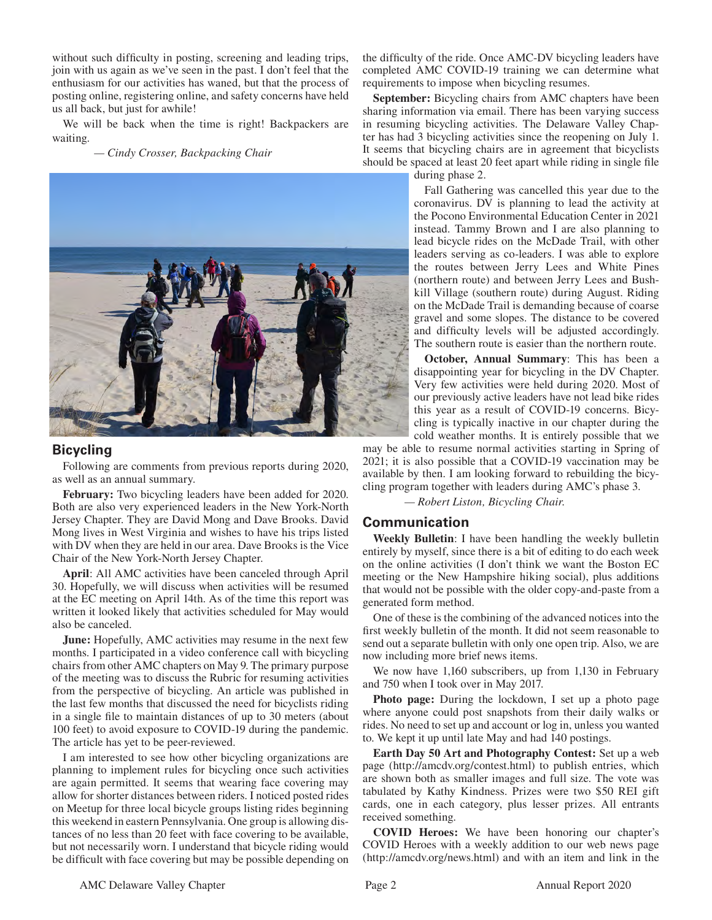without such difficulty in posting, screening and leading trips, join with us again as we've seen in the past. I don't feel that the enthusiasm for our activities has waned, but that the process of posting online, registering online, and safety concerns have held us all back, but just for awhile!

We will be back when the time is right! Backpackers are waiting.

 *— Cindy Crosser, Backpacking Chair*



## **Bicycling**

Following are comments from previous reports during 2020, as well as an annual summary.

**February:** Two bicycling leaders have been added for 2020. Both are also very experienced leaders in the New York-North Jersey Chapter. They are David Mong and Dave Brooks. David Mong lives in West Virginia and wishes to have his trips listed with DV when they are held in our area. Dave Brooks is the Vice Chair of the New York-North Jersey Chapter.

**April**: All AMC activities have been canceled through April 30. Hopefully, we will discuss when activities will be resumed at the EC meeting on April 14th. As of the time this report was written it looked likely that activities scheduled for May would also be canceled.

**June:** Hopefully, AMC activities may resume in the next few months. I participated in a video conference call with bicycling chairs from other AMC chapters on May 9. The primary purpose of the meeting was to discuss the Rubric for resuming activities from the perspective of bicycling. An article was published in the last few months that discussed the need for bicyclists riding in a single file to maintain distances of up to 30 meters (about 100 feet) to avoid exposure to COVID-19 during the pandemic. The article has yet to be peer-reviewed.

I am interested to see how other bicycling organizations are planning to implement rules for bicycling once such activities are again permitted. It seems that wearing face covering may allow for shorter distances between riders. I noticed posted rides on Meetup for three local bicycle groups listing rides beginning this weekend in eastern Pennsylvania. One group is allowing distances of no less than 20 feet with face covering to be available, but not necessarily worn. I understand that bicycle riding would be difficult with face covering but may be possible depending on

the difficulty of the ride. Once AMC-DV bicycling leaders have completed AMC COVID-19 training we can determine what requirements to impose when bicycling resumes.

**September:** Bicycling chairs from AMC chapters have been sharing information via email. There has been varying success in resuming bicycling activities. The Delaware Valley Chapter has had 3 bicycling activities since the reopening on July 1. It seems that bicycling chairs are in agreement that bicyclists should be spaced at least 20 feet apart while riding in single file

during phase 2.

Fall Gathering was cancelled this year due to the coronavirus. DV is planning to lead the activity at the Pocono Environmental Education Center in 2021 instead. Tammy Brown and I are also planning to lead bicycle rides on the McDade Trail, with other leaders serving as co-leaders. I was able to explore the routes between Jerry Lees and White Pines (northern route) and between Jerry Lees and Bushkill Village (southern route) during August. Riding on the McDade Trail is demanding because of coarse gravel and some slopes. The distance to be covered and difficulty levels will be adjusted accordingly. The southern route is easier than the northern route.

**October, Annual Summary**: This has been a disappointing year for bicycling in the DV Chapter. Very few activities were held during 2020. Most of our previously active leaders have not lead bike rides this year as a result of COVID-19 concerns. Bicycling is typically inactive in our chapter during the cold weather months. It is entirely possible that we

may be able to resume normal activities starting in Spring of 2021; it is also possible that a COVID-19 vaccination may be available by then. I am looking forward to rebuilding the bicycling program together with leaders during AMC's phase 3.

*— Robert Liston, Bicycling Chair.*

#### **Communication**

**Weekly Bulletin**: I have been handling the weekly bulletin entirely by myself, since there is a bit of editing to do each week on the online activities (I don't think we want the Boston EC meeting or the New Hampshire hiking social), plus additions that would not be possible with the older copy-and-paste from a generated form method.

One of these is the combining of the advanced notices into the first weekly bulletin of the month. It did not seem reasonable to send out a separate bulletin with only one open trip. Also, we are now including more brief news items.

We now have 1,160 subscribers, up from 1,130 in February and 750 when I took over in May 2017.

**Photo page:** During the lockdown, I set up a photo page where anyone could post snapshots from their daily walks or rides. No need to set up and account or log in, unless you wanted to. We kept it up until late May and had 140 postings.

**Earth Day 50 Art and Photography Contest:** Set up a web page (http://amcdv.org/contest.html) to publish entries, which are shown both as smaller images and full size. The vote was tabulated by Kathy Kindness. Prizes were two \$50 REI gift cards, one in each category, plus lesser prizes. All entrants received something.

**COVID Heroes:** We have been honoring our chapter's COVID Heroes with a weekly addition to our web news page (http://amcdv.org/news.html) and with an item and link in the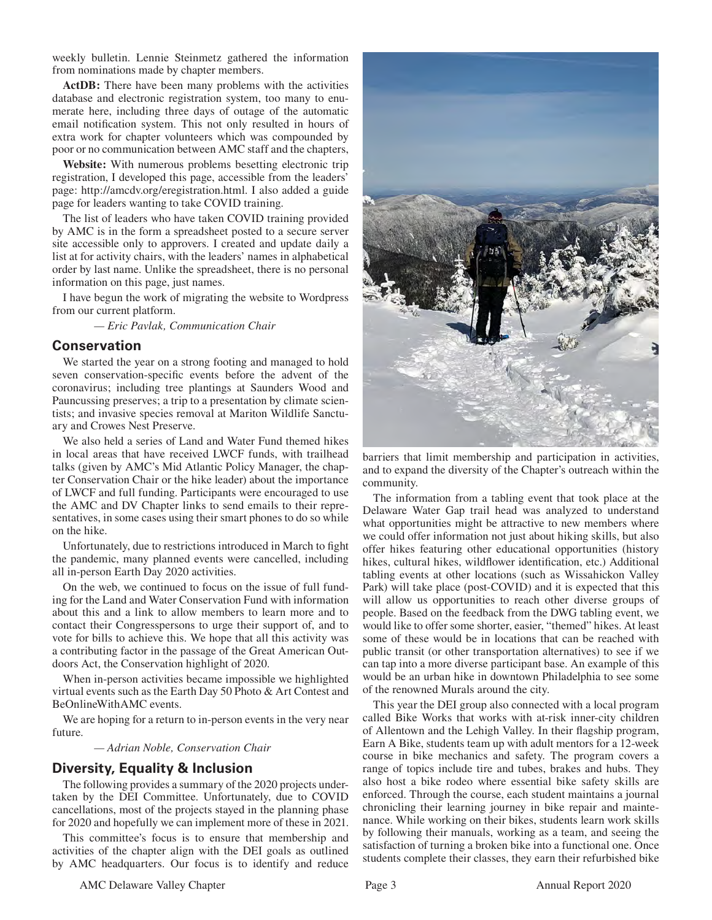weekly bulletin. Lennie Steinmetz gathered the information from nominations made by chapter members.

ActDB: There have been many problems with the activities database and electronic registration system, too many to enumerate here, including three days of outage of the automatic email notification system. This not only resulted in hours of extra work for chapter volunteers which was compounded by poor or no communication between AMC staff and the chapters,

**Website:** With numerous problems besetting electronic trip registration, I developed this page, accessible from the leaders' page: http://amcdv.org/eregistration.html. I also added a guide page for leaders wanting to take COVID training.

The list of leaders who have taken COVID training provided by AMC is in the form a spreadsheet posted to a secure server site accessible only to approvers. I created and update daily a list at for activity chairs, with the leaders' names in alphabetical order by last name. Unlike the spreadsheet, there is no personal information on this page, just names.

I have begun the work of migrating the website to Wordpress from our current platform.

 *— Eric Pavlak, Communication Chair*

#### **Conservation**

We started the year on a strong footing and managed to hold seven conservation-specific events before the advent of the coronavirus; including tree plantings at Saunders Wood and Pauncussing preserves; a trip to a presentation by climate scientists; and invasive species removal at Mariton Wildlife Sanctuary and Crowes Nest Preserve.

We also held a series of Land and Water Fund themed hikes in local areas that have received LWCF funds, with trailhead talks (given by AMC's Mid Atlantic Policy Manager, the chapter Conservation Chair or the hike leader) about the importance of LWCF and full funding. Participants were encouraged to use the AMC and DV Chapter links to send emails to their representatives, in some cases using their smart phones to do so while on the hike.

Unfortunately, due to restrictions introduced in March to fight the pandemic, many planned events were cancelled, including all in-person Earth Day 2020 activities.

On the web, we continued to focus on the issue of full funding for the Land and Water Conservation Fund with information about this and a link to allow members to learn more and to contact their Congresspersons to urge their support of, and to vote for bills to achieve this. We hope that all this activity was a contributing factor in the passage of the Great American Outdoors Act, the Conservation highlight of 2020.

When in-person activities became impossible we highlighted virtual events such as the Earth Day 50 Photo & Art Contest and BeOnlineWithAMC events.

We are hoping for a return to in-person events in the very near future.

 *— Adrian Noble, Conservation Chair*

## **Diversity, Equality & Inclusion**

The following provides a summary of the 2020 projects undertaken by the DEI Committee. Unfortunately, due to COVID cancellations, most of the projects stayed in the planning phase for 2020 and hopefully we can implement more of these in 2021.

This committee's focus is to ensure that membership and activities of the chapter align with the DEI goals as outlined by AMC headquarters. Our focus is to identify and reduce



barriers that limit membership and participation in activities, and to expand the diversity of the Chapter's outreach within the community.

The information from a tabling event that took place at the Delaware Water Gap trail head was analyzed to understand what opportunities might be attractive to new members where we could offer information not just about hiking skills, but also offer hikes featuring other educational opportunities (history hikes, cultural hikes, wildflower identification, etc.) Additional tabling events at other locations (such as Wissahickon Valley Park) will take place (post-COVID) and it is expected that this will allow us opportunities to reach other diverse groups of people. Based on the feedback from the DWG tabling event, we would like to offer some shorter, easier, "themed" hikes. At least some of these would be in locations that can be reached with public transit (or other transportation alternatives) to see if we can tap into a more diverse participant base. An example of this would be an urban hike in downtown Philadelphia to see some of the renowned Murals around the city.

This year the DEI group also connected with a local program called Bike Works that works with at-risk inner-city children of Allentown and the Lehigh Valley. In their flagship program, Earn A Bike, students team up with adult mentors for a 12-week course in bike mechanics and safety. The program covers a range of topics include tire and tubes, brakes and hubs. They also host a bike rodeo where essential bike safety skills are enforced. Through the course, each student maintains a journal chronicling their learning journey in bike repair and maintenance. While working on their bikes, students learn work skills by following their manuals, working as a team, and seeing the satisfaction of turning a broken bike into a functional one. Once students complete their classes, they earn their refurbished bike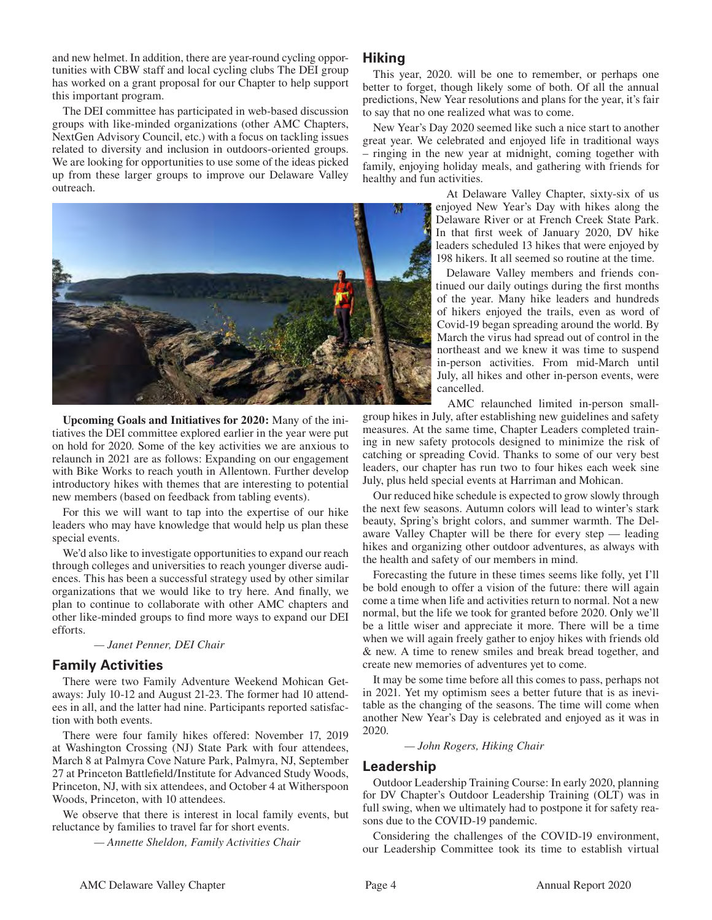and new helmet. In addition, there are year-round cycling opportunities with CBW staff and local cycling clubs The DEI group has worked on a grant proposal for our Chapter to help support this important program.

The DEI committee has participated in web-based discussion groups with like-minded organizations (other AMC Chapters, NextGen Advisory Council, etc.) with a focus on tackling issues related to diversity and inclusion in outdoors-oriented groups. We are looking for opportunities to use some of the ideas picked up from these larger groups to improve our Delaware Valley outreach.



**Upcoming Goals and Initiatives for 2020:** Many of the initiatives the DEI committee explored earlier in the year were put on hold for 2020. Some of the key activities we are anxious to relaunch in 2021 are as follows: Expanding on our engagement with Bike Works to reach youth in Allentown. Further develop introductory hikes with themes that are interesting to potential new members (based on feedback from tabling events).

For this we will want to tap into the expertise of our hike leaders who may have knowledge that would help us plan these special events.

We'd also like to investigate opportunities to expand our reach through colleges and universities to reach younger diverse audiences. This has been a successful strategy used by other similar organizations that we would like to try here. And finally, we plan to continue to collaborate with other AMC chapters and other like-minded groups to find more ways to expand our DEI efforts.

 *— Janet Penner, DEI Chair*

## **Family Activities**

There were two Family Adventure Weekend Mohican Getaways: July 10-12 and August 21-23. The former had 10 attendees in all, and the latter had nine. Participants reported satisfaction with both events.

There were four family hikes offered: November 17, 2019 at Washington Crossing (NJ) State Park with four attendees, March 8 at Palmyra Cove Nature Park, Palmyra, NJ, September 27 at Princeton Battlefield/Institute for Advanced Study Woods, Princeton, NJ, with six attendees, and October 4 at Witherspoon Woods, Princeton, with 10 attendees.

We observe that there is interest in local family events, but reluctance by families to travel far for short events.

 *— Annette Sheldon, Family Activities Chair*

## **Hiking**

This year, 2020. will be one to remember, or perhaps one better to forget, though likely some of both. Of all the annual predictions, New Year resolutions and plans for the year, it's fair to say that no one realized what was to come.

New Year's Day 2020 seemed like such a nice start to another great year. We celebrated and enjoyed life in traditional ways – ringing in the new year at midnight, coming together with family, enjoying holiday meals, and gathering with friends for healthy and fun activities.

> At Delaware Valley Chapter, sixty-six of us enjoyed New Year's Day with hikes along the Delaware River or at French Creek State Park. In that first week of January 2020, DV hike leaders scheduled 13 hikes that were enjoyed by 198 hikers. It all seemed so routine at the time.

> Delaware Valley members and friends continued our daily outings during the first months of the year. Many hike leaders and hundreds of hikers enjoyed the trails, even as word of Covid-19 began spreading around the world. By March the virus had spread out of control in the northeast and we knew it was time to suspend in-person activities. From mid-March until July, all hikes and other in-person events, were cancelled.

AMC relaunched limited in-person small-

group hikes in July, after establishing new guidelines and safety measures. At the same time, Chapter Leaders completed training in new safety protocols designed to minimize the risk of catching or spreading Covid. Thanks to some of our very best leaders, our chapter has run two to four hikes each week sine July, plus held special events at Harriman and Mohican.

Our reduced hike schedule is expected to grow slowly through the next few seasons. Autumn colors will lead to winter's stark beauty, Spring's bright colors, and summer warmth. The Delaware Valley Chapter will be there for every step — leading hikes and organizing other outdoor adventures, as always with the health and safety of our members in mind.

Forecasting the future in these times seems like folly, yet I'll be bold enough to offer a vision of the future: there will again come a time when life and activities return to normal. Not a new normal, but the life we took for granted before 2020. Only we'll be a little wiser and appreciate it more. There will be a time when we will again freely gather to enjoy hikes with friends old & new. A time to renew smiles and break bread together, and create new memories of adventures yet to come.

It may be some time before all this comes to pass, perhaps not in 2021. Yet my optimism sees a better future that is as inevitable as the changing of the seasons. The time will come when another New Year's Day is celebrated and enjoyed as it was in 2020.

#### *— John Rogers, Hiking Chair*

#### **Leadership**

Outdoor Leadership Training Course: In early 2020, planning for DV Chapter's Outdoor Leadership Training (OLT) was in full swing, when we ultimately had to postpone it for safety reasons due to the COVID-19 pandemic.

Considering the challenges of the COVID-19 environment, our Leadership Committee took its time to establish virtual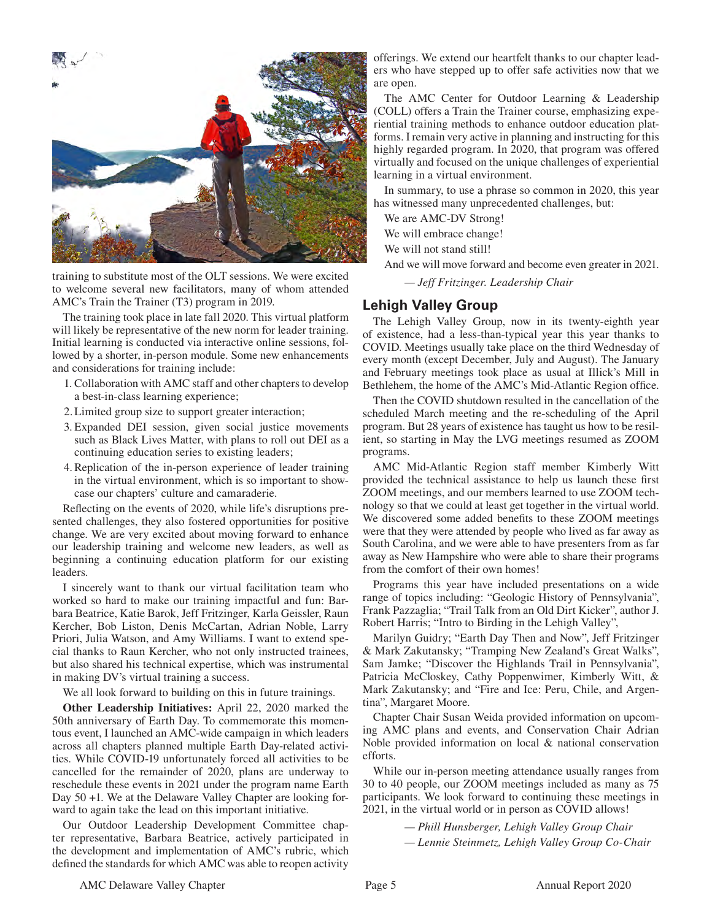

training to substitute most of the OLT sessions. We were excited to welcome several new facilitators, many of whom attended AMC's Train the Trainer (T3) program in 2019.

The training took place in late fall 2020. This virtual platform will likely be representative of the new norm for leader training. Initial learning is conducted via interactive online sessions, followed by a shorter, in-person module. Some new enhancements and considerations for training include:

- 1. Collaboration with AMC staff and other chapters to develop a best-in-class learning experience;
- 2. Limited group size to support greater interaction;
- 3. Expanded DEI session, given social justice movements such as Black Lives Matter, with plans to roll out DEI as a continuing education series to existing leaders;
- 4. Replication of the in-person experience of leader training in the virtual environment, which is so important to showcase our chapters' culture and camaraderie.

Reflecting on the events of 2020, while life's disruptions presented challenges, they also fostered opportunities for positive change. We are very excited about moving forward to enhance our leadership training and welcome new leaders, as well as beginning a continuing education platform for our existing leaders.

I sincerely want to thank our virtual facilitation team who worked so hard to make our training impactful and fun: Barbara Beatrice, Katie Barok, Jeff Fritzinger, Karla Geissler, Raun Kercher, Bob Liston, Denis McCartan, Adrian Noble, Larry Priori, Julia Watson, and Amy Williams. I want to extend special thanks to Raun Kercher, who not only instructed trainees, but also shared his technical expertise, which was instrumental in making DV's virtual training a success.

We all look forward to building on this in future trainings.

**Other Leadership Initiatives:** April 22, 2020 marked the 50th anniversary of Earth Day. To commemorate this momentous event, I launched an AMC-wide campaign in which leaders across all chapters planned multiple Earth Day-related activities. While COVID-19 unfortunately forced all activities to be cancelled for the remainder of 2020, plans are underway to reschedule these events in 2021 under the program name Earth Day 50 +1. We at the Delaware Valley Chapter are looking forward to again take the lead on this important initiative.

Our Outdoor Leadership Development Committee chapter representative, Barbara Beatrice, actively participated in the development and implementation of AMC's rubric, which defined the standards for which AMC was able to reopen activity offerings. We extend our heartfelt thanks to our chapter leaders who have stepped up to offer safe activities now that we are open.

The AMC Center for Outdoor Learning & Leadership (COLL) offers a Train the Trainer course, emphasizing experiential training methods to enhance outdoor education platforms. I remain very active in planning and instructing for this highly regarded program. In 2020, that program was offered virtually and focused on the unique challenges of experiential learning in a virtual environment.

In summary, to use a phrase so common in 2020, this year has witnessed many unprecedented challenges, but:

We are AMC-DV Strong!

We will embrace change!

We will not stand still!

And we will move forward and become even greater in 2021.

 *— Jeff Fritzinger. Leadership Chair* 

# **Lehigh Valley Group**

The Lehigh Valley Group, now in its twenty-eighth year of existence, had a less-than-typical year this year thanks to COVID. Meetings usually take place on the third Wednesday of every month (except December, July and August). The January and February meetings took place as usual at Illick's Mill in Bethlehem, the home of the AMC's Mid-Atlantic Region office.

Then the COVID shutdown resulted in the cancellation of the scheduled March meeting and the re-scheduling of the April program. But 28 years of existence has taught us how to be resilient, so starting in May the LVG meetings resumed as ZOOM programs.

AMC Mid-Atlantic Region staff member Kimberly Witt provided the technical assistance to help us launch these first ZOOM meetings, and our members learned to use ZOOM technology so that we could at least get together in the virtual world. We discovered some added benefits to these ZOOM meetings were that they were attended by people who lived as far away as South Carolina, and we were able to have presenters from as far away as New Hampshire who were able to share their programs from the comfort of their own homes!

Programs this year have included presentations on a wide range of topics including: "Geologic History of Pennsylvania", Frank Pazzaglia; "Trail Talk from an Old Dirt Kicker", author J. Robert Harris; "Intro to Birding in the Lehigh Valley",

Marilyn Guidry; "Earth Day Then and Now", Jeff Fritzinger & Mark Zakutansky; "Tramping New Zealand's Great Walks", Sam Jamke; "Discover the Highlands Trail in Pennsylvania", Patricia McCloskey, Cathy Poppenwimer, Kimberly Witt, & Mark Zakutansky; and "Fire and Ice: Peru, Chile, and Argentina", Margaret Moore.

Chapter Chair Susan Weida provided information on upcoming AMC plans and events, and Conservation Chair Adrian Noble provided information on local & national conservation efforts.

While our in-person meeting attendance usually ranges from 30 to 40 people, our ZOOM meetings included as many as 75 participants. We look forward to continuing these meetings in 2021, in the virtual world or in person as COVID allows!

> *— Phill Hunsberger, Lehigh Valley Group Chair — Lennie Steinmetz, Lehigh Valley Group Co-Chair*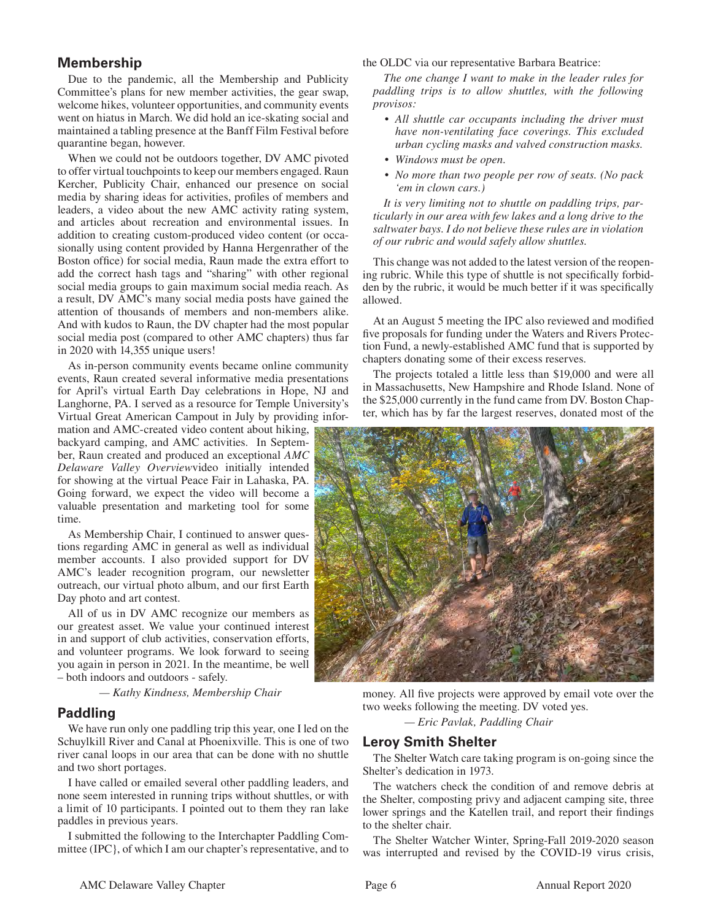# **Membership**

Due to the pandemic, all the Membership and Publicity Committee's plans for new member activities, the gear swap, welcome hikes, volunteer opportunities, and community events went on hiatus in March. We did hold an ice-skating social and maintained a tabling presence at the Banff Film Festival before quarantine began, however.

When we could not be outdoors together, DV AMC pivoted to offer virtual touchpoints to keep our members engaged. Raun Kercher, Publicity Chair, enhanced our presence on social media by sharing ideas for activities, profiles of members and leaders, a video about the new AMC activity rating system, and articles about recreation and environmental issues. In addition to creating custom-produced video content (or occasionally using content provided by Hanna Hergenrather of the Boston office) for social media, Raun made the extra effort to add the correct hash tags and "sharing" with other regional social media groups to gain maximum social media reach. As a result, DV AMC's many social media posts have gained the attention of thousands of members and non-members alike. And with kudos to Raun, the DV chapter had the most popular social media post (compared to other AMC chapters) thus far in 2020 with 14,355 unique users!

As in-person community events became online community events, Raun created several informative media presentations for April's virtual Earth Day celebrations in Hope, NJ and Langhorne, PA. I served as a resource for Temple University's Virtual Great American Campout in July by providing infor-

mation and AMC-created video content about hiking, backyard camping, and AMC activities. In September, Raun created and produced an exceptional *AMC Delaware Valley Overview*video initially intended for showing at the virtual Peace Fair in Lahaska, PA. Going forward, we expect the video will become a valuable presentation and marketing tool for some time.

As Membership Chair, I continued to answer questions regarding AMC in general as well as individual member accounts. I also provided support for DV AMC's leader recognition program, our newsletter outreach, our virtual photo album, and our first Earth Day photo and art contest.

All of us in DV AMC recognize our members as our greatest asset. We value your continued interest in and support of club activities, conservation efforts, and volunteer programs. We look forward to seeing you again in person in 2021. In the meantime, be well – both indoors and outdoors - safely.

 *— Kathy Kindness, Membership Chair*

## **Paddling**

We have run only one paddling trip this year, one I led on the Schuylkill River and Canal at Phoenixville. This is one of two river canal loops in our area that can be done with no shuttle and two short portages.

I have called or emailed several other paddling leaders, and none seem interested in running trips without shuttles, or with a limit of 10 participants. I pointed out to them they ran lake paddles in previous years.

I submitted the following to the Interchapter Paddling Committee (IPC}, of which I am our chapter's representative, and to the OLDC via our representative Barbara Beatrice:

*The one change I want to make in the leader rules for paddling trips is to allow shuttles, with the following provisos:* 

- *All shuttle car occupants including the driver must have non-ventilating face coverings. This excluded urban cycling masks and valved construction masks.*
- *Windows must be open.*
- *No more than two people per row of seats. (No pack 'em in clown cars.)*

*It is very limiting not to shuttle on paddling trips, particularly in our area with few lakes and a long drive to the saltwater bays. I do not believe these rules are in violation of our rubric and would safely allow shuttles.* 

This change was not added to the latest version of the reopening rubric. While this type of shuttle is not specifically forbidden by the rubric, it would be much better if it was specifically allowed.

At an August 5 meeting the IPC also reviewed and modified five proposals for funding under the Waters and Rivers Protection Fund, a newly-established AMC fund that is supported by chapters donating some of their excess reserves.

The projects totaled a little less than \$19,000 and were all in Massachusetts, New Hampshire and Rhode Island. None of the \$25,000 currently in the fund came from DV. Boston Chapter, which has by far the largest reserves, donated most of the



money. All five projects were approved by email vote over the two weeks following the meeting. DV voted yes.

 *— Eric Pavlak, Paddling Chair*

# **Leroy Smith Shelter**

The Shelter Watch care taking program is on-going since the Shelter's dedication in 1973.

The watchers check the condition of and remove debris at the Shelter, composting privy and adjacent camping site, three lower springs and the Katellen trail, and report their findings to the shelter chair.

The Shelter Watcher Winter, Spring-Fall 2019-2020 season was interrupted and revised by the COVID-19 virus crisis,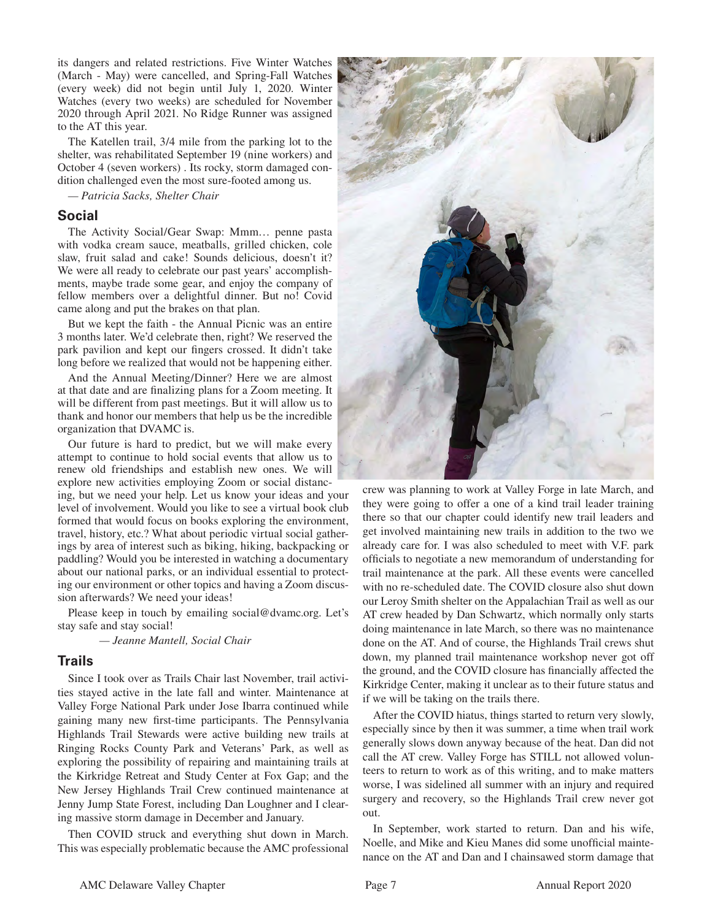its dangers and related restrictions. Five Winter Watches (March - May) were cancelled, and Spring-Fall Watches (every week) did not begin until July 1, 2020. Winter Watches (every two weeks) are scheduled for November 2020 through April 2021. No Ridge Runner was assigned to the AT this year.

The Katellen trail, 3/4 mile from the parking lot to the shelter, was rehabilitated September 19 (nine workers) and October 4 (seven workers) . Its rocky, storm damaged condition challenged even the most sure-footed among us.

*— Patricia Sacks, Shelter Chair*

#### **Social**

The Activity Social/Gear Swap: Mmm… penne pasta with vodka cream sauce, meatballs, grilled chicken, cole slaw, fruit salad and cake! Sounds delicious, doesn't it? We were all ready to celebrate our past years' accomplishments, maybe trade some gear, and enjoy the company of fellow members over a delightful dinner. But no! Covid came along and put the brakes on that plan.

But we kept the faith - the Annual Picnic was an entire 3 months later. We'd celebrate then, right? We reserved the park pavilion and kept our fingers crossed. It didn't take long before we realized that would not be happening either.

And the Annual Meeting/Dinner? Here we are almost at that date and are finalizing plans for a Zoom meeting. It will be different from past meetings. But it will allow us to thank and honor our members that help us be the incredible organization that DVAMC is.

Our future is hard to predict, but we will make every attempt to continue to hold social events that allow us to renew old friendships and establish new ones. We will explore new activities employing Zoom or social distancing, but we need your help. Let us know your ideas and your level of involvement. Would you like to see a virtual book club formed that would focus on books exploring the environment, travel, history, etc.? What about periodic virtual social gatherings by area of interest such as biking, hiking, backpacking or paddling? Would you be interested in watching a documentary about our national parks, or an individual essential to protecting our environment or other topics and having a Zoom discussion afterwards? We need your ideas!

Please keep in touch by emailing social@dvamc.org. Let's stay safe and stay social!

 *— Jeanne Mantell, Social Chair*

## **Trails**

Since I took over as Trails Chair last November, trail activities stayed active in the late fall and winter. Maintenance at Valley Forge National Park under Jose Ibarra continued while gaining many new first-time participants. The Pennsylvania Highlands Trail Stewards were active building new trails at Ringing Rocks County Park and Veterans' Park, as well as exploring the possibility of repairing and maintaining trails at the Kirkridge Retreat and Study Center at Fox Gap; and the New Jersey Highlands Trail Crew continued maintenance at Jenny Jump State Forest, including Dan Loughner and I clearing massive storm damage in December and January.

Then COVID struck and everything shut down in March. This was especially problematic because the AMC professional



crew was planning to work at Valley Forge in late March, and they were going to offer a one of a kind trail leader training there so that our chapter could identify new trail leaders and get involved maintaining new trails in addition to the two we already care for. I was also scheduled to meet with V.F. park officials to negotiate a new memorandum of understanding for trail maintenance at the park. All these events were cancelled with no re-scheduled date. The COVID closure also shut down our Leroy Smith shelter on the Appalachian Trail as well as our AT crew headed by Dan Schwartz, which normally only starts doing maintenance in late March, so there was no maintenance done on the AT. And of course, the Highlands Trail crews shut down, my planned trail maintenance workshop never got off the ground, and the COVID closure has financially affected the Kirkridge Center, making it unclear as to their future status and if we will be taking on the trails there.

After the COVID hiatus, things started to return very slowly, especially since by then it was summer, a time when trail work generally slows down anyway because of the heat. Dan did not call the AT crew. Valley Forge has STILL not allowed volunteers to return to work as of this writing, and to make matters worse, I was sidelined all summer with an injury and required surgery and recovery, so the Highlands Trail crew never got out.

In September, work started to return. Dan and his wife, Noelle, and Mike and Kieu Manes did some unofficial maintenance on the AT and Dan and I chainsawed storm damage that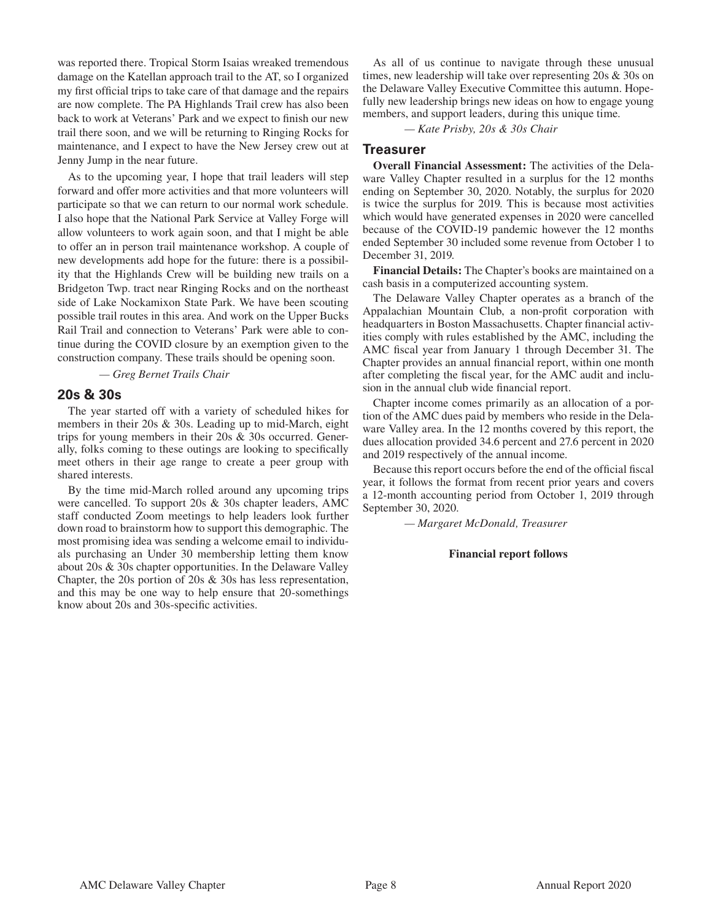was reported there. Tropical Storm Isaias wreaked tremendous damage on the Katellan approach trail to the AT, so I organized my first official trips to take care of that damage and the repairs are now complete. The PA Highlands Trail crew has also been back to work at Veterans' Park and we expect to finish our new trail there soon, and we will be returning to Ringing Rocks for maintenance, and I expect to have the New Jersey crew out at Jenny Jump in the near future.

As to the upcoming year, I hope that trail leaders will step forward and offer more activities and that more volunteers will participate so that we can return to our normal work schedule. I also hope that the National Park Service at Valley Forge will allow volunteers to work again soon, and that I might be able to offer an in person trail maintenance workshop. A couple of new developments add hope for the future: there is a possibility that the Highlands Crew will be building new trails on a Bridgeton Twp. tract near Ringing Rocks and on the northeast side of Lake Nockamixon State Park. We have been scouting possible trail routes in this area. And work on the Upper Bucks Rail Trail and connection to Veterans' Park were able to continue during the COVID closure by an exemption given to the construction company. These trails should be opening soon.

 *— Greg Bernet Trails Chair*

#### **20s & 30s**

The year started off with a variety of scheduled hikes for members in their 20s & 30s. Leading up to mid-March, eight trips for young members in their 20s & 30s occurred. Generally, folks coming to these outings are looking to specifically meet others in their age range to create a peer group with shared interests.

By the time mid-March rolled around any upcoming trips were cancelled. To support 20s & 30s chapter leaders, AMC staff conducted Zoom meetings to help leaders look further down road to brainstorm how to support this demographic. The most promising idea was sending a welcome email to individuals purchasing an Under 30 membership letting them know about 20s & 30s chapter opportunities. In the Delaware Valley Chapter, the 20s portion of 20s & 30s has less representation, and this may be one way to help ensure that 20-somethings know about 20s and 30s-specific activities.

As all of us continue to navigate through these unusual times, new leadership will take over representing 20s & 30s on the Delaware Valley Executive Committee this autumn. Hopefully new leadership brings new ideas on how to engage young members, and support leaders, during this unique time.

*— Kate Prisby, 20s & 30s Chair*

#### **Treasurer**

**Overall Financial Assessment:** The activities of the Delaware Valley Chapter resulted in a surplus for the 12 months ending on September 30, 2020. Notably, the surplus for 2020 is twice the surplus for 2019. This is because most activities which would have generated expenses in 2020 were cancelled because of the COVID-19 pandemic however the 12 months ended September 30 included some revenue from October 1 to December 31, 2019.

**Financial Details:** The Chapter's books are maintained on a cash basis in a computerized accounting system.

The Delaware Valley Chapter operates as a branch of the Appalachian Mountain Club, a non-profit corporation with headquarters in Boston Massachusetts. Chapter financial activities comply with rules established by the AMC, including the AMC fiscal year from January 1 through December 31. The Chapter provides an annual financial report, within one month after completing the fiscal year, for the AMC audit and inclusion in the annual club wide financial report.

Chapter income comes primarily as an allocation of a portion of the AMC dues paid by members who reside in the Delaware Valley area. In the 12 months covered by this report, the dues allocation provided 34.6 percent and 27.6 percent in 2020 and 2019 respectively of the annual income.

Because this report occurs before the end of the official fiscal year, it follows the format from recent prior years and covers a 12-month accounting period from October 1, 2019 through September 30, 2020.

 *— Margaret McDonald, Treasurer*

#### **Financial report follows**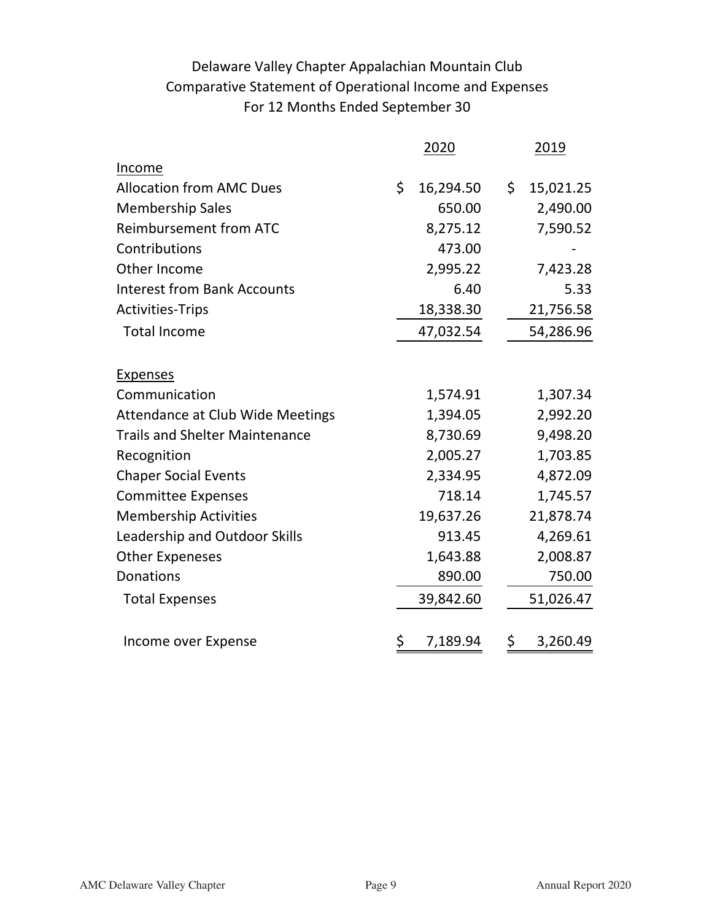# Delaware Valley Chapter Appalachian Mountain Club Comparative Statement of Operational Income and Expenses For 12 Months Ended September 30

| 2020           |                                     | 2019      |
|----------------|-------------------------------------|-----------|
|                |                                     |           |
| \$             | \$                                  | 15,021.25 |
| 650.00         |                                     | 2,490.00  |
| 8,275.12       |                                     | 7,590.52  |
| 473.00         |                                     |           |
| 2,995.22       |                                     | 7,423.28  |
| 6.40           |                                     | 5.33      |
| 18,338.30      |                                     | 21,756.58 |
|                |                                     | 54,286.96 |
|                |                                     |           |
| 1,574.91       |                                     | 1,307.34  |
| 1,394.05       |                                     | 2,992.20  |
| 8,730.69       |                                     | 9,498.20  |
| 2,005.27       |                                     | 1,703.85  |
| 2,334.95       |                                     | 4,872.09  |
| 718.14         |                                     | 1,745.57  |
| 19,637.26      |                                     | 21,878.74 |
| 913.45         |                                     | 4,269.61  |
| 1,643.88       |                                     | 2,008.87  |
| 890.00         |                                     | 750.00    |
|                |                                     | 51,026.47 |
| \$<br>7,189.94 | \$                                  | 3,260.49  |
|                | 16,294.50<br>47,032.54<br>39,842.60 |           |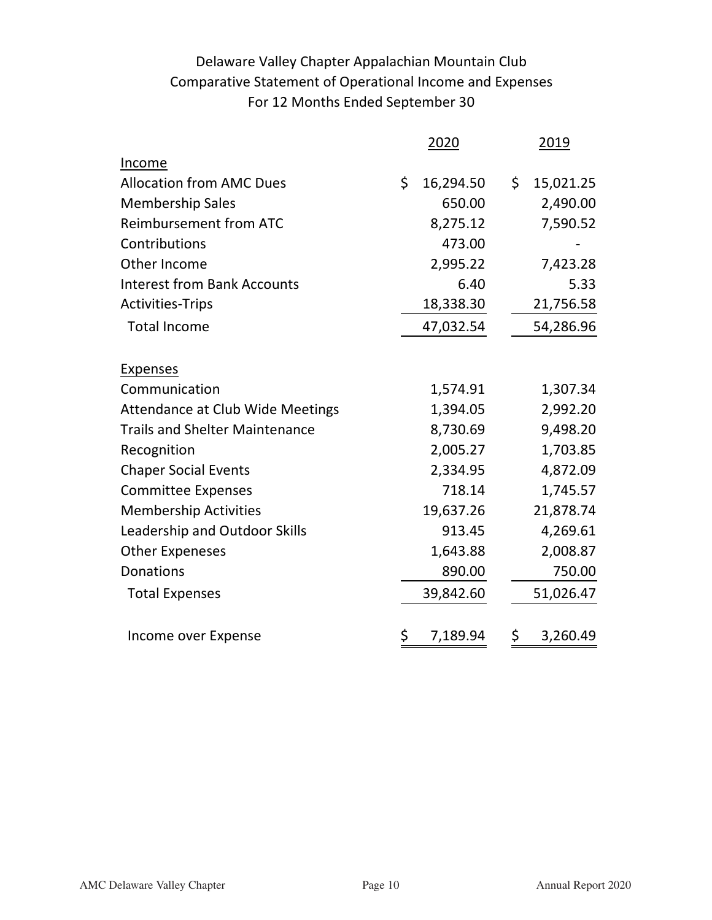# Delaware Valley Chapter Appalachian Mountain Club Comparative Statement of Operational Income and Expenses For 12 Months Ended September 30

|                                         | 2020            | 2019            |
|-----------------------------------------|-----------------|-----------------|
| Income                                  |                 |                 |
| <b>Allocation from AMC Dues</b>         | \$<br>16,294.50 | \$<br>15,021.25 |
| <b>Membership Sales</b>                 | 650.00          | 2,490.00        |
| <b>Reimbursement from ATC</b>           | 8,275.12        | 7,590.52        |
| Contributions                           | 473.00          |                 |
| Other Income                            | 2,995.22        | 7,423.28        |
| <b>Interest from Bank Accounts</b>      | 6.40            | 5.33            |
| <b>Activities-Trips</b>                 | 18,338.30       | 21,756.58       |
| <b>Total Income</b>                     | 47,032.54       | 54,286.96       |
| <b>Expenses</b>                         |                 |                 |
| Communication                           | 1,574.91        | 1,307.34        |
| <b>Attendance at Club Wide Meetings</b> | 1,394.05        | 2,992.20        |
| <b>Trails and Shelter Maintenance</b>   | 8,730.69        | 9,498.20        |
| Recognition                             | 2,005.27        | 1,703.85        |
| <b>Chaper Social Events</b>             | 2,334.95        | 4,872.09        |
| <b>Committee Expenses</b>               | 718.14          | 1,745.57        |
| <b>Membership Activities</b>            | 19,637.26       | 21,878.74       |
| Leadership and Outdoor Skills           | 913.45          | 4,269.61        |
| <b>Other Expeneses</b>                  | 1,643.88        | 2,008.87        |
| Donations                               | 890.00          | 750.00          |
| <b>Total Expenses</b>                   | 39,842.60       | 51,026.47       |
| Income over Expense                     | \$<br>7,189.94  | \$<br>3,260.49  |